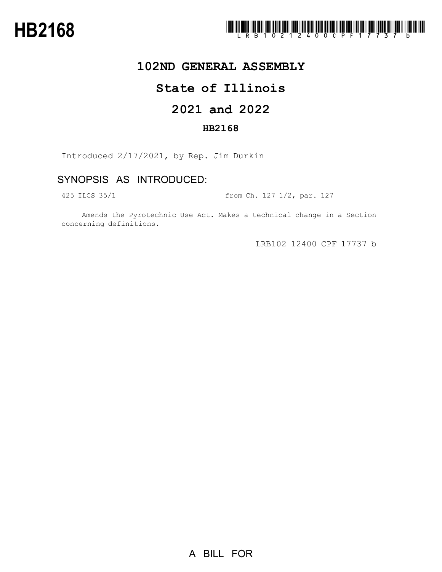

## **102ND GENERAL ASSEMBLY**

# **State of Illinois**

# **2021 and 2022**

### **HB2168**

Introduced 2/17/2021, by Rep. Jim Durkin

## SYNOPSIS AS INTRODUCED:

425 ILCS 35/1 from Ch. 127 1/2, par. 127

Amends the Pyrotechnic Use Act. Makes a technical change in a Section concerning definitions.

LRB102 12400 CPF 17737 b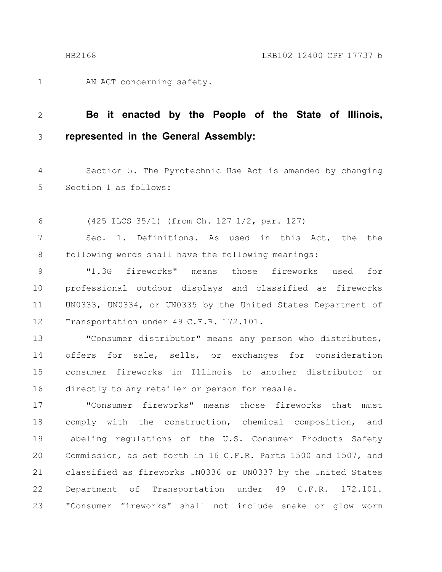AN ACT concerning safety. 1

#### **Be it enacted by the People of the State of Illinois, represented in the General Assembly:** 2 3

Section 5. The Pyrotechnic Use Act is amended by changing Section 1 as follows: 4 5

(425 ILCS 35/1) (from Ch. 127 1/2, par. 127) 6

Sec. 1. Definitions. As used in this Act, the the following words shall have the following meanings: 7 8

"1.3G fireworks" means those fireworks used for professional outdoor displays and classified as fireworks UN0333, UN0334, or UN0335 by the United States Department of Transportation under 49 C.F.R. 172.101. 9 10 11 12

"Consumer distributor" means any person who distributes, offers for sale, sells, or exchanges for consideration consumer fireworks in Illinois to another distributor or directly to any retailer or person for resale. 13 14 15 16

"Consumer fireworks" means those fireworks that must comply with the construction, chemical composition, and labeling regulations of the U.S. Consumer Products Safety Commission, as set forth in 16 C.F.R. Parts 1500 and 1507, and classified as fireworks UN0336 or UN0337 by the United States Department of Transportation under 49 C.F.R. 172.101. "Consumer fireworks" shall not include snake or glow worm 17 18 19 20 21 22 23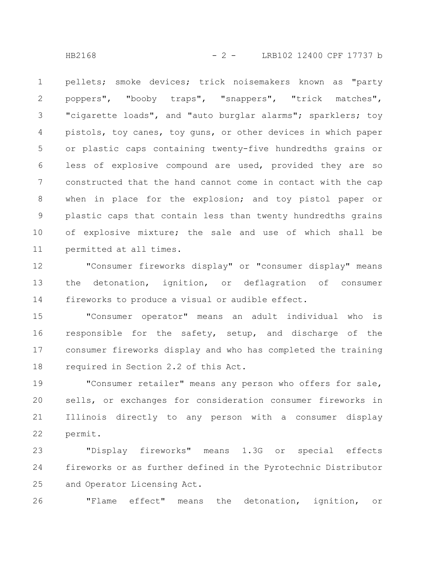HB2168 - 2 - LRB102 12400 CPF 17737 b

pellets; smoke devices; trick noisemakers known as "party poppers", "booby traps", "snappers", "trick matches", "cigarette loads", and "auto burglar alarms"; sparklers; toy pistols, toy canes, toy guns, or other devices in which paper or plastic caps containing twenty-five hundredths grains or less of explosive compound are used, provided they are so constructed that the hand cannot come in contact with the cap when in place for the explosion; and toy pistol paper or plastic caps that contain less than twenty hundredths grains of explosive mixture; the sale and use of which shall be permitted at all times. 1 2 3 4 5 6 7 8 9 10 11

"Consumer fireworks display" or "consumer display" means the detonation, ignition, or deflagration of consumer fireworks to produce a visual or audible effect. 12 13 14

"Consumer operator" means an adult individual who is responsible for the safety, setup, and discharge of the consumer fireworks display and who has completed the training required in Section 2.2 of this Act. 15 16 17 18

"Consumer retailer" means any person who offers for sale, sells, or exchanges for consideration consumer fireworks in Illinois directly to any person with a consumer display permit. 19 20 21 22

"Display fireworks" means 1.3G or special effects fireworks or as further defined in the Pyrotechnic Distributor and Operator Licensing Act. 23 24 25

"Flame effect" means the detonation, ignition, or 26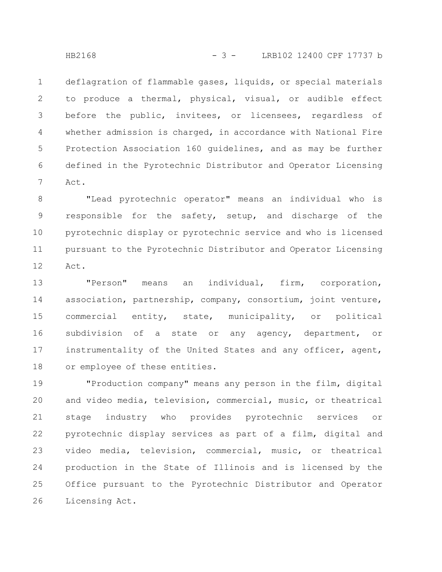deflagration of flammable gases, liquids, or special materials to produce a thermal, physical, visual, or audible effect before the public, invitees, or licensees, regardless of whether admission is charged, in accordance with National Fire Protection Association 160 guidelines, and as may be further defined in the Pyrotechnic Distributor and Operator Licensing Act. 1 2 3 4 5 6 7

"Lead pyrotechnic operator" means an individual who is responsible for the safety, setup, and discharge of the pyrotechnic display or pyrotechnic service and who is licensed pursuant to the Pyrotechnic Distributor and Operator Licensing Act. 8 9 10 11 12

"Person" means an individual, firm, corporation, association, partnership, company, consortium, joint venture, commercial entity, state, municipality, or political subdivision of a state or any agency, department, or instrumentality of the United States and any officer, agent, or employee of these entities. 13 14 15 16 17 18

"Production company" means any person in the film, digital and video media, television, commercial, music, or theatrical stage industry who provides pyrotechnic services or pyrotechnic display services as part of a film, digital and video media, television, commercial, music, or theatrical production in the State of Illinois and is licensed by the Office pursuant to the Pyrotechnic Distributor and Operator Licensing Act. 19 20 21 22 23 24 25 26